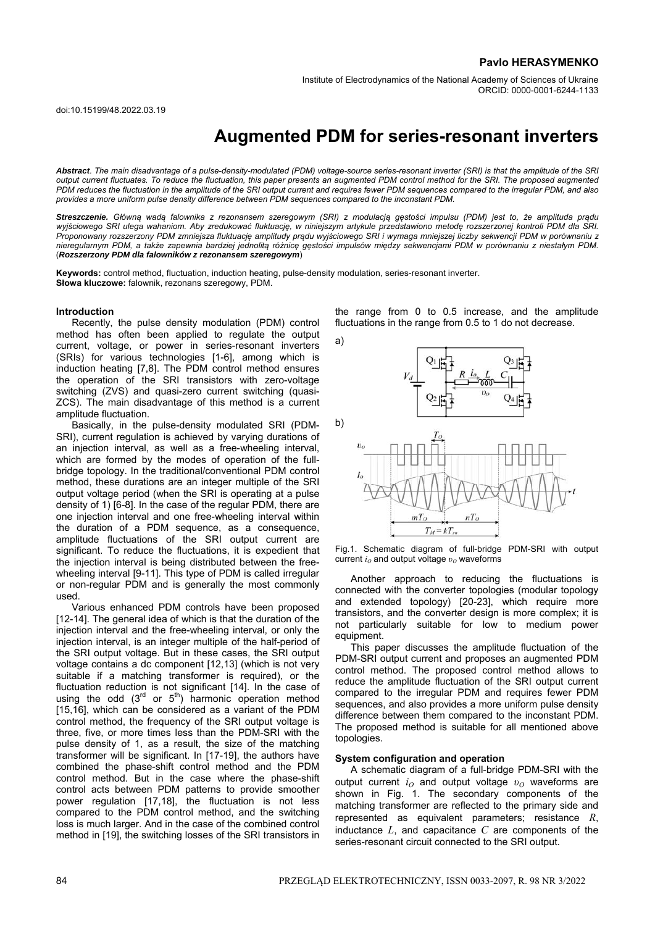Institute of Electrodynamics of the National Academy of Sciences of Ukraine ORCID: 0000-0001-6244-1133

doi:10.15199/48.2022.03.19

# **Augmented PDM for series-resonant inverters**

Abstract. The main disadvantage of a pulse-density-modulated (PDM) voltage-source series-resonant inverter (SRI) is that the amplitude of the SRI *output current fluctuates. To reduce the fluctuation, this paper presents an augmented PDM control method for the SRI. The proposed augmented PDM reduces the fluctuation in the amplitude of the SRI output current and requires fewer PDM sequences compared to the irregular PDM, and also provides a more uniform pulse density difference between PDM sequences compared to the inconstant PDM.* 

Streszczenie. Główną wadą falownika z rezonansem szeregowym (SRI) z modulacją gęstości impulsu (PDM) jest to, że amplituda prądu *wyjściowego SRI ulega wahaniom. Aby zredukować fluktuację, w niniejszym artykule przedstawiono metodę rozszerzonej kontroli PDM dla SRI. Proponowany rozszerzony PDM zmniejsza fluktuację amplitudy prądu wyjściowego SRI i wymaga mniejszej liczby sekwencji PDM w porównaniu z*  nieregularnym PDM, a także zapewnia bardziej jednolitą różnicę gęstości impulsów między sekwencjami PDM w porównaniu z niestałym PDM. (*Rozszerzony PDM dla falowników z rezonansem szeregowym*)

**Keywords:** control method, fluctuation, induction heating, pulse-density modulation, series-resonant inverter. **Słowa kluczowe:** falownik, rezonans szeregowy, PDM.

## **Introduction**

Recently, the pulse density modulation (PDM) control method has often been applied to regulate the output current, voltage, or power in series-resonant inverters (SRIs) for various technologies [1-6], among which is induction heating [7,8]. The PDM control method ensures the operation of the SRI transistors with zero-voltage switching (ZVS) and quasi-zero current switching (quasi-ZCS). The main disadvantage of this method is a current amplitude fluctuation.

Basically, in the pulse-density modulated SRI (PDM-SRI), current regulation is achieved by varying durations of an injection interval, as well as a free-wheeling interval, which are formed by the modes of operation of the fullbridge topology. In the traditional/conventional PDM control method, these durations are an integer multiple of the SRI output voltage period (when the SRI is operating at a pulse density of 1) [6-8]. In the case of the regular PDM, there are one injection interval and one free-wheeling interval within the duration of a PDM sequence, as a consequence, amplitude fluctuations of the SRI output current are significant. To reduce the fluctuations, it is expedient that the injection interval is being distributed between the freewheeling interval [9-11]. This type of PDM is called irregular or non-regular PDM and is generally the most commonly used.

Various enhanced PDM controls have been proposed [12-14]. The general idea of which is that the duration of the injection interval and the free-wheeling interval, or only the injection interval, is an integer multiple of the half-period of the SRI output voltage. But in these cases, the SRI output voltage contains a dc component [12,13] (which is not very suitable if a matching transformer is required), or the fluctuation reduction is not significant [14]. In the case of using the odd  $(3^{rd}$  or  $5^{th})$  harmonic operation method [15,16], which can be considered as a variant of the PDM control method, the frequency of the SRI output voltage is three, five, or more times less than the PDM-SRI with the pulse density of 1, as a result, the size of the matching transformer will be significant. In [17-19], the authors have combined the phase-shift control method and the PDM control method. But in the case where the phase-shift control acts between PDM patterns to provide smoother power regulation [17,18], the fluctuation is not less compared to the PDM control method, and the switching loss is much larger. And in the case of the combined control method in [19], the switching losses of the SRI transistors in

the range from 0 to 0.5 increase, and the amplitude fluctuations in the range from 0.5 to 1 do not decrease.



Fig.1. Schematic diagram of full-bridge PDM-SRI with output current *i<sub>O</sub>* and output voltage  $v<sub>O</sub>$  waveforms

Another approach to reducing the fluctuations is connected with the converter topologies (modular topology and extended topology) [20-23], which require more transistors, and the converter design is more complex; it is not particularly suitable for low to medium power equipment.

This paper discusses the amplitude fluctuation of the PDM-SRI output current and proposes an augmented PDM control method. The proposed control method allows to reduce the amplitude fluctuation of the SRI output current compared to the irregular PDM and requires fewer PDM sequences, and also provides a more uniform pulse density difference between them compared to the inconstant PDM. The proposed method is suitable for all mentioned above topologies.

#### **System configuration and operation**

A schematic diagram of a full-bridge PDM-SRI with the output current *i*<sub>*O*</sub> and output voltage  $v<sub>O</sub>$  waveforms are shown in Fig. 1. The secondary components of the matching transformer are reflected to the primary side and represented as equivalent parameters; resistance *R*, inductance *L*, and capacitance *C* are components of the series-resonant circuit connected to the SRI output.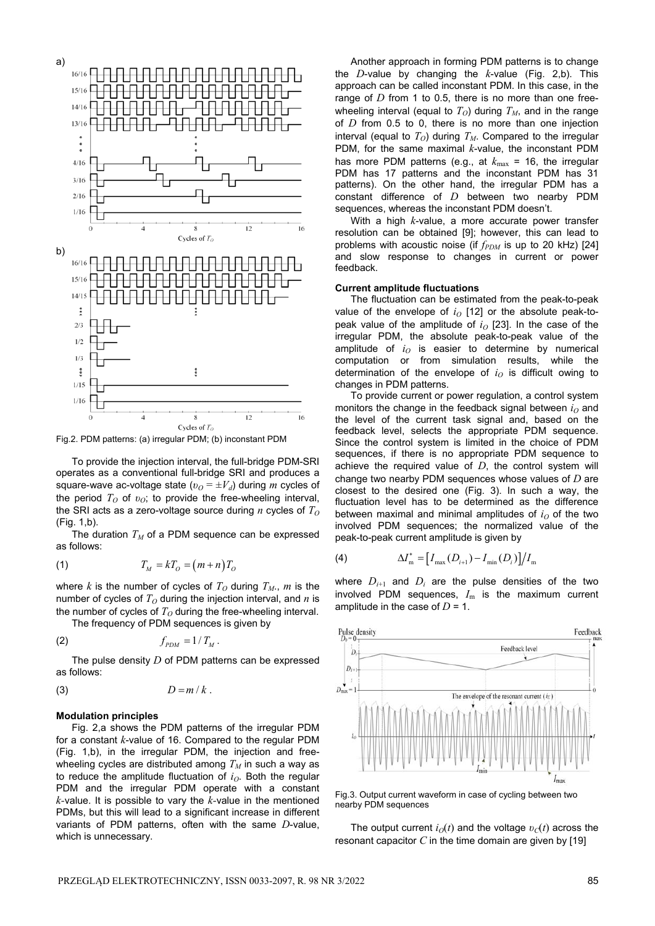

Fig.2. PDM patterns: (a) irregular PDM; (b) inconstant PDM

To provide the injection interval, the full-bridge PDM-SRI operates as a conventional full-bridge SRI and produces a square-wave ac-voltage state ( $v<sub>O</sub> = ±V<sub>d</sub>$ ) during *m* cycles of the period *T*<sub>*O*</sub> of *v*<sub>*O*</sub>; to provide the free-wheeling interval, the SRI acts as a zero-voltage source during  $n$  cycles of  $T<sub>O</sub>$ (Fig. 1,b).

The duration  $T_M$  of a PDM sequence can be expressed as follows:

$$
(1) \t\t T_M = kT_O = (m+n)T_O
$$

where *k* is the number of cycles of  $T<sub>O</sub>$  during  $T<sub>M</sub>$ , *m* is the number of cycles of  $T<sub>O</sub>$  during the injection interval, and *n* is the number of cycles of  $T<sub>O</sub>$  during the free-wheeling interval.

The frequency of PDM sequences is given by

$$
(2) \t f_{PDM} = 1/T_M.
$$

The pulse density *D* of PDM patterns can be expressed as follows:

$$
(3) \t\t\t D=m/k.
$$

#### **Modulation principles**

Fig. 2,a shows the PDM patterns of the irregular PDM for a constant *k*-value of 16. Compared to the regular PDM (Fig. 1,b), in the irregular PDM, the injection and freewheeling cycles are distributed among  $T_M$  in such a way as to reduce the amplitude fluctuation of  $i<sub>O</sub>$ . Both the regular PDM and the irregular PDM operate with a constant *k-*value. It is possible to vary the *k-*value in the mentioned PDMs, but this will lead to a significant increase in different variants of PDM patterns, often with the same *D*-value, which is unnecessary.

Another approach in forming PDM patterns is to change the *D*-value by changing the *k*-value (Fig. 2,b). This approach can be called inconstant PDM. In this case, in the range of *D* from 1 to 0.5, there is no more than one freewheeling interval (equal to  $T<sub>O</sub>$ ) during  $T<sub>M</sub>$ , and in the range of *D* from 0.5 to 0, there is no more than one injection interval (equal to  $T_O$ ) during  $T_M$ . Compared to the irregular PDM, for the same maximal *k*-value, the inconstant PDM has more PDM patterns (e.g., at  $k_{\text{max}}$  = 16, the irregular PDM has 17 patterns and the inconstant PDM has 31 patterns). On the other hand, the irregular PDM has a constant difference of *D* between two nearby PDM sequences, whereas the inconstant PDM doesn't.

With a high *k*-value, a more accurate power transfer resolution can be obtained [9]; however, this can lead to problems with acoustic noise (if  $f_{PDM}$  is up to 20 kHz) [24] and slow response to changes in current or power feedback.

## **Current amplitude fluctuations**

The fluctuation can be estimated from the peak-to-peak value of the envelope of  $i<sub>O</sub>$  [12] or the absolute peak-topeak value of the amplitude of  $i<sub>O</sub>$  [23]. In the case of the irregular PDM, the absolute peak-to-peak value of the amplitude of  $i<sub>O</sub>$  is easier to determine by numerical computation or from simulation results, while the determination of the envelope of  $i<sub>O</sub>$  is difficult owing to changes in PDM patterns.

To provide current or power regulation, a control system monitors the change in the feedback signal between  $i<sub>O</sub>$  and the level of the current task signal and, based on the feedback level, selects the appropriate PDM sequence. Since the control system is limited in the choice of PDM sequences, if there is no appropriate PDM sequence to achieve the required value of *D*, the control system will change two nearby PDM sequences whose values of *D* are closest to the desired one (Fig. 3). In such a way, the fluctuation level has to be determined as the difference between maximal and minimal amplitudes of  $i<sub>0</sub>$  of the two involved PDM sequences; the normalized value of the peak-to-peak current amplitude is given by

(4) 
$$
\Delta I_{\text{m}}^* = [I_{\text{max}}(D_{i+1}) - I_{\text{min}}(D_i)]/I_{\text{m}}
$$

where  $D_{i+1}$  and  $D_i$  are the pulse densities of the two involved PDM sequences,  $I<sub>m</sub>$  is the maximum current amplitude in the case of  $D = 1$ .



Fig.3. Output current waveform in case of cycling between two nearby PDM sequences

The output current  $i<sub>O</sub>(t)$  and the voltage  $v<sub>C</sub>(t)$  across the resonant capacitor *C* in the time domain are given by [19]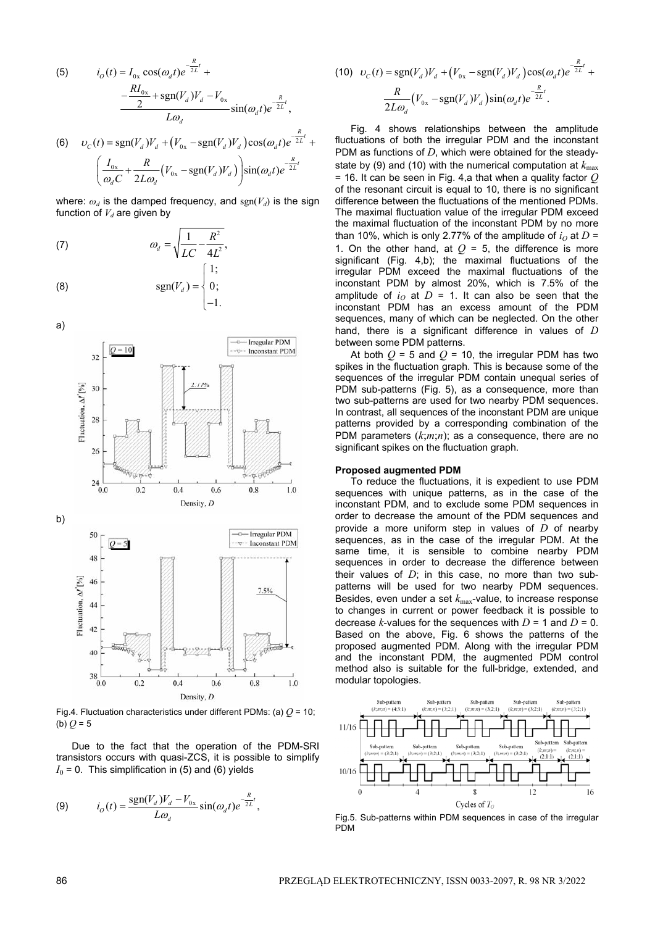(5) 
$$
i_{O}(t) = I_{0x} \cos(\omega_{d}t)e^{-\frac{R}{2L}t} + \frac{R I_{0x}}{2} + \frac{R I_{0x}}{2} + \frac{R I_{0x}}{2} + \frac{R I_{0y}}{2} \sin(\omega_{d}t)e^{-\frac{R}{2L}t},
$$
  
(6) 
$$
v_{C}(t) = \text{sgn}(V_{d})V_{d} + (V_{0x} - \text{sgn}(V_{d})V_{d})\cos(\omega_{d}t)e^{-\frac{R}{2L}t} + \frac{R}{\omega_{d}C} + \frac{R}{2L\omega_{d}}(V_{0x} - \text{sgn}(V_{d})V_{d})\sin(\omega_{d}t)e^{-\frac{R}{2L}t}
$$

where:  $\omega_d$  is the damped frequency, and  $sgn(V_d)$  is the sign function of  $V_d$  are given by

 $\begin{pmatrix} \omega_d C & 2L\omega_d & \cdots & \cdots & \omega \end{pmatrix}$ 

(7) 2 2 <sup>1</sup> , <sup>4</sup> *<sup>d</sup> R LC L* 1;

$$
\operatorname{sgn}(V_d) = \begin{cases} \begin{cases} \begin{cases} \begin{cases} \begin{cases} \end{cases} \\ \begin{cases} \end{cases} \\ \begin{cases} \end{cases} \end{cases} \end{cases} \end{cases}
$$



Fig.4. Fluctuation characteristics under different PDMs: (a)  $Q$  = 10; (b) *Q* = 5

Due to the fact that the operation of the PDM-SRI transistors occurs with quasi-ZCS, it is possible to simplify  $I_0$  = 0. This simplification in (5) and (6) yields

$$
(9) \t\t iO(t) = \frac{\operatorname{sgn}(V_d)V_d - V_{0x}}{L\omega_d} \sin(\omega_d t)e^{-\frac{R}{2L}t},
$$

(10) 
$$
v_C(t) = sgn(V_d)V_d + (V_{0x} - sgn(V_d)V_d)cos(\omega_d t)e^{-\frac{R}{2L}t} +
$$
  

$$
\frac{R}{2L\omega_d}(V_{0x} - sgn(V_d)V_d)sin(\omega_d t)e^{-\frac{R}{2L}t}.
$$

Fig. 4 shows relationships between the amplitude fluctuations of both the irregular PDM and the inconstant PDM as functions of *D*, which were obtained for the steadystate by (9) and (10) with the numerical computation at  $k_{\text{max}}$ = 16. It can be seen in Fig. 4,a that when a quality factor *Q* of the resonant circuit is equal to 10, there is no significant difference between the fluctuations of the mentioned PDMs. The maximal fluctuation value of the irregular PDM exceed the maximal fluctuation of the inconstant PDM by no more than 10%, which is only 2.77% of the amplitude of  $i<sub>O</sub>$  at  $D =$ 1. On the other hand, at  $Q = 5$ , the difference is more significant (Fig. 4,b); the maximal fluctuations of the irregular PDM exceed the maximal fluctuations of the inconstant PDM by almost 20%, which is 7.5% of the amplitude of  $i<sub>0</sub>$  at  $D = 1$ . It can also be seen that the inconstant PDM has an excess amount of the PDM sequences, many of which can be neglected. On the other hand, there is a significant difference in values of *D* between some PDM patterns.

At both  $Q = 5$  and  $Q = 10$ , the irregular PDM has two spikes in the fluctuation graph. This is because some of the sequences of the irregular PDM contain unequal series of PDM sub-patterns (Fig. 5), as a consequence, more than two sub-patterns are used for two nearby PDM sequences. In contrast, all sequences of the inconstant PDM are unique patterns provided by a corresponding combination of the PDM parameters (*k*;*m*;*n*); as a consequence, there are no significant spikes on the fluctuation graph.

## **Proposed augmented PDM**

To reduce the fluctuations, it is expedient to use PDM sequences with unique patterns, as in the case of the inconstant PDM, and to exclude some PDM sequences in order to decrease the amount of the PDM sequences and provide a more uniform step in values of *D* of nearby sequences, as in the case of the irregular PDM. At the same time, it is sensible to combine nearby PDM sequences in order to decrease the difference between their values of  $D$ ; in this case, no more than two subpatterns will be used for two nearby PDM sequences. Besides, even under a set *k*max-value, to increase response to changes in current or power feedback it is possible to decrease  $k$ -values for the sequences with  $D = 1$  and  $D = 0$ . Based on the above, Fig. 6 shows the patterns of the proposed augmented PDM. Along with the irregular PDM and the inconstant PDM, the augmented PDM control method also is suitable for the full-bridge, extended, and modular topologies.



Fig.5. Sub-patterns within PDM sequences in case of the irregular **PDM**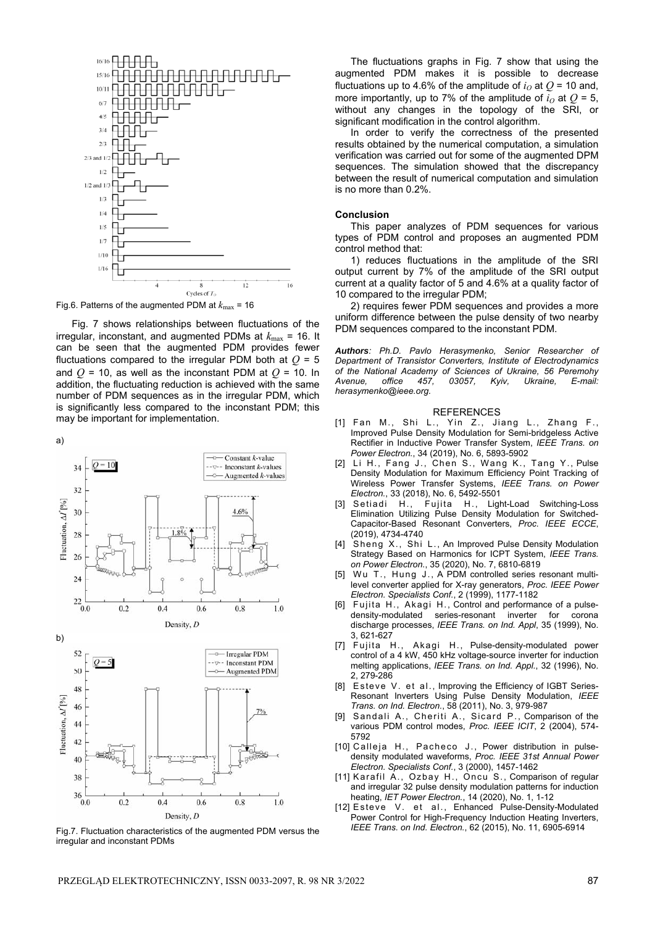

Fig.6. Patterns of the augmented PDM at  $k_{\text{max}}$  = 16

Fig. 7 shows relationships between fluctuations of the irregular, inconstant, and augmented PDMs at  $k_{\text{max}} = 16$ . It can be seen that the augmented PDM provides fewer fluctuations compared to the irregular PDM both at  $Q = 5$ and  $Q = 10$ , as well as the inconstant PDM at  $Q = 10$ . In addition, the fluctuating reduction is achieved with the same number of PDM sequences as in the irregular PDM, which is significantly less compared to the inconstant PDM; this may be important for implementation.

a)





Fig.7. Fluctuation characteristics of the augmented PDM versus the irregular and inconstant PDMs

The fluctuations graphs in Fig. 7 show that using the augmented PDM makes it is possible to decrease fluctuations up to 4.6% of the amplitude of  $i<sub>O</sub>$  at  $Q$  = 10 and, more importantly, up to 7% of the amplitude of  $i<sub>O</sub>$  at  $O = 5$ , without any changes in the topology of the SRI, or significant modification in the control algorithm.

In order to verify the correctness of the presented results obtained by the numerical computation, a simulation verification was carried out for some of the augmented DPM sequences. The simulation showed that the discrepancy between the result of numerical computation and simulation is no more than 0.2%.

#### **Conclusion**

This paper analyzes of PDM sequences for various types of PDM control and proposes an augmented PDM control method that:

1) reduces fluctuations in the amplitude of the SRI output current by 7% of the amplitude of the SRI output current at a quality factor of 5 and 4.6% at a quality factor of 10 compared to the irregular PDM;

2) requires fewer PDM sequences and provides a more uniform difference between the pulse density of two nearby PDM sequences compared to the inconstant PDM.

*Authors: Ph.D. Pavlo Herasymenko, Senior Researcher of Department of Transistor Converters, Institute of Electrodynamics of the National Academy of Sciences of Ukraine, 56 Peremohy Avenue, office 457, 03057, Kyiv, Ukraine, E-mail: herasymenko@ieee.org.* 

## REFERENCES

- [1] Fan M., Shi L., Yin Z., Jiang L., Zhang F., Improved Pulse Density Modulation for Semi-bridgeless Active Rectifier in Inductive Power Transfer System, *IEEE Trans. on Power Electron.*, 34 (2019), No. 6, 5893-5902
- [2] Li H., Fang J., Chen S., Wang K., Tang Y., Pulse Density Modulation for Maximum Efficiency Point Tracking of Wireless Power Transfer Systems, *IEEE Trans. on Power Electron.*, 33 (2018), No. 6, 5492-5501
- [3] Setiadi H., Fujita H., Light-Load Switching-Loss Elimination Utilizing Pulse Density Modulation for Switched-Capacitor-Based Resonant Converters, *Proc. IEEE ECCE*, (2019), 4734-4740
- [4] Sheng X., Shi L., An Improved Pulse Density Modulation Strategy Based on Harmonics for ICPT System, *IEEE Trans. on Power Electron.*, 35 (2020), No. 7, 6810-6819
- [5] Wu T., Hung J., A PDM controlled series resonant multilevel converter applied for X-ray generators, *Proc. IEEE Power Electron. Specialists Conf.*, 2 (1999), 1177-1182
- [6] Fujita H., Akagi H., Control and performance of a pulsedensity-modulated series-resonant inverter for corona discharge processes, *IEEE Trans. on Ind. Appl*, 35 (1999), No. 3, 621-627
- [7] Fujita H., Akagi H., Pulse-density-modulated power control of a 4 kW, 450 kHz voltage-source inverter for induction melting applications, *IEEE Trans. on Ind. Appl.*, 32 (1996), No. 2, 279-286
- [8] Esteve V. et al., Improving the Efficiency of IGBT Series-Resonant Inverters Using Pulse Density Modulation, *IEEE Trans. on Ind. Electron.*, 58 (2011), No. 3, 979-987
- [9] Sandali A., Cheriti A., Sicard P., Comparison of the various PDM control modes, Proc. IEEE ICIT, 2 (2004), 574-5792
- [10] Calleja H., Pacheco J., Power distribution in pulsedensity modulated waveforms, *Proc. IEEE 31st Annual Power Electron. Specialists Conf.*, 3 (2000), 1457-1462
- [11] Karafil A., Ozbay H., Oncu S., Comparison of regular and irregular 32 pulse density modulation patterns for induction heating, *IET Power Electron.*, 14 (2020), No. 1, 1-12
- [12] Esteve V. et al., Enhanced Pulse-Density-Modulated Power Control for High-Frequency Induction Heating Inverters, *IEEE Trans. on Ind. Electron.*, 62 (2015), No. 11, 6905-6914